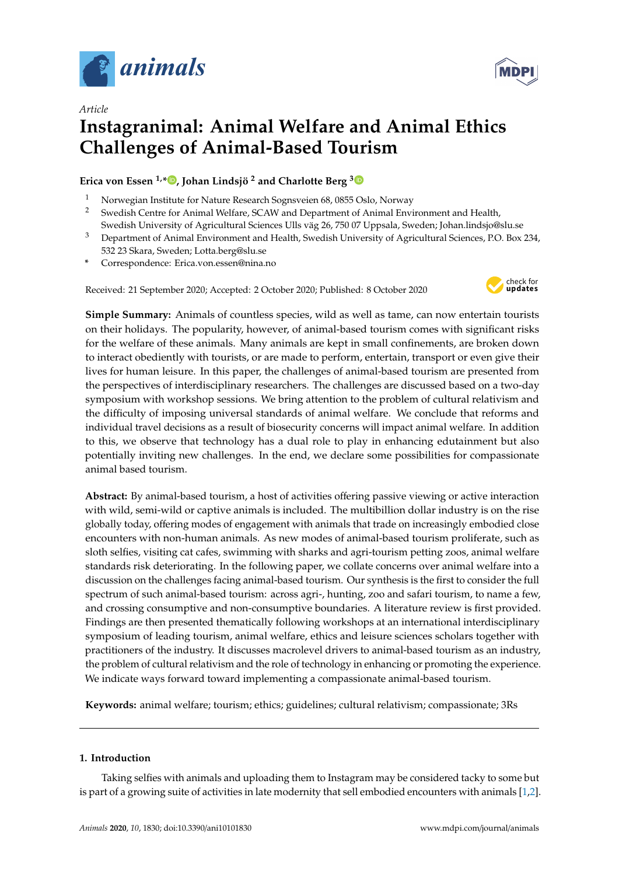

*Article*

# **Instagranimal: Animal Welfare and Animal Ethics Challenges of Animal-Based Tourism**

# **Erica von Essen 1,\* [,](https://orcid.org/0000-0002-9169-0064) Johan Lindsjö <sup>2</sup> and Charlotte Berg [3](https://orcid.org/0000-0001-5671-5273)**

- <sup>1</sup> Norwegian Institute for Nature Research Sognsveien 68, 0855 Oslo, Norway<br><sup>2</sup> Sundish Contra for Animal Walfare, SCAW and Department of Animal Envi
- <sup>2</sup> Swedish Centre for Animal Welfare, SCAW and Department of Animal Environment and Health, Swedish University of Agricultural Sciences Ulls väg 26, 750 07 Uppsala, Sweden; Johan.lindsjo@slu.se
- <sup>3</sup> Department of Animal Environment and Health, Swedish University of Agricultural Sciences, P.O. Box 234, 532 23 Skara, Sweden; Lotta.berg@slu.se
- **\*** Correspondence: Erica.von.essen@nina.no

Received: 21 September 2020; Accepted: 2 October 2020; Published: 8 October 2020



MDF

**Simple Summary:** Animals of countless species, wild as well as tame, can now entertain tourists on their holidays. The popularity, however, of animal-based tourism comes with significant risks for the welfare of these animals. Many animals are kept in small confinements, are broken down to interact obediently with tourists, or are made to perform, entertain, transport or even give their lives for human leisure. In this paper, the challenges of animal-based tourism are presented from the perspectives of interdisciplinary researchers. The challenges are discussed based on a two-day symposium with workshop sessions. We bring attention to the problem of cultural relativism and the difficulty of imposing universal standards of animal welfare. We conclude that reforms and individual travel decisions as a result of biosecurity concerns will impact animal welfare. In addition to this, we observe that technology has a dual role to play in enhancing edutainment but also potentially inviting new challenges. In the end, we declare some possibilities for compassionate animal based tourism.

**Abstract:** By animal-based tourism, a host of activities offering passive viewing or active interaction with wild, semi-wild or captive animals is included. The multibillion dollar industry is on the rise globally today, offering modes of engagement with animals that trade on increasingly embodied close encounters with non-human animals. As new modes of animal-based tourism proliferate, such as sloth selfies, visiting cat cafes, swimming with sharks and agri-tourism petting zoos, animal welfare standards risk deteriorating. In the following paper, we collate concerns over animal welfare into a discussion on the challenges facing animal-based tourism. Our synthesis is the first to consider the full spectrum of such animal-based tourism: across agri-, hunting, zoo and safari tourism, to name a few, and crossing consumptive and non-consumptive boundaries. A literature review is first provided. Findings are then presented thematically following workshops at an international interdisciplinary symposium of leading tourism, animal welfare, ethics and leisure sciences scholars together with practitioners of the industry. It discusses macrolevel drivers to animal-based tourism as an industry, the problem of cultural relativism and the role of technology in enhancing or promoting the experience. We indicate ways forward toward implementing a compassionate animal-based tourism.

**Keywords:** animal welfare; tourism; ethics; guidelines; cultural relativism; compassionate; 3Rs

# **1. Introduction**

Taking selfies with animals and uploading them to Instagram may be considered tacky to some but is part of a growing suite of activities in late modernity that sell embodied encounters with animals [\[1](#page-12-0)[,2\]](#page-12-1).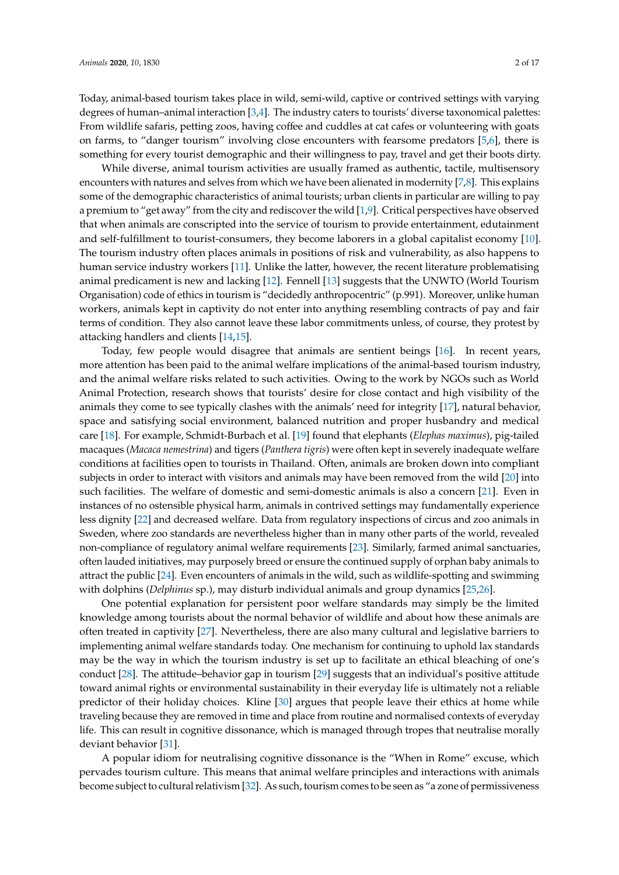Today, animal-based tourism takes place in wild, semi-wild, captive or contrived settings with varying degrees of human–animal interaction [\[3,](#page-12-2)[4\]](#page-12-3). The industry caters to tourists' diverse taxonomical palettes: From wildlife safaris, petting zoos, having coffee and cuddles at cat cafes or volunteering with goats on farms, to "danger tourism" involving close encounters with fearsome predators [\[5,](#page-12-4)[6\]](#page-13-0), there is something for every tourist demographic and their willingness to pay, travel and get their boots dirty.

While diverse, animal tourism activities are usually framed as authentic, tactile, multisensory encounters with natures and selves from which we have been alienated in modernity [\[7](#page-13-1)[,8\]](#page-13-2). This explains some of the demographic characteristics of animal tourists; urban clients in particular are willing to pay a premium to "get away" from the city and rediscover the wild [\[1,](#page-12-0)[9\]](#page-13-3). Critical perspectives have observed that when animals are conscripted into the service of tourism to provide entertainment, edutainment and self-fulfillment to tourist-consumers, they become laborers in a global capitalist economy [\[10\]](#page-13-4). The tourism industry often places animals in positions of risk and vulnerability, as also happens to human service industry workers [\[11\]](#page-13-5). Unlike the latter, however, the recent literature problematising animal predicament is new and lacking [\[12\]](#page-13-6). Fennell [\[13\]](#page-13-7) suggests that the UNWTO (World Tourism Organisation) code of ethics in tourism is "decidedly anthropocentric" (p.991). Moreover, unlike human workers, animals kept in captivity do not enter into anything resembling contracts of pay and fair terms of condition. They also cannot leave these labor commitments unless, of course, they protest by attacking handlers and clients [\[14,](#page-13-8)[15\]](#page-13-9).

Today, few people would disagree that animals are sentient beings [\[16\]](#page-13-10). In recent years, more attention has been paid to the animal welfare implications of the animal-based tourism industry, and the animal welfare risks related to such activities. Owing to the work by NGOs such as World Animal Protection, research shows that tourists' desire for close contact and high visibility of the animals they come to see typically clashes with the animals' need for integrity [\[17\]](#page-13-11), natural behavior, space and satisfying social environment, balanced nutrition and proper husbandry and medical care [\[18\]](#page-13-12). For example, Schmidt-Burbach et al. [\[19\]](#page-13-13) found that elephants (*Elephas maximus*), pig-tailed macaques (*Macaca nemestrina*) and tigers (*Panthera tigris*) were often kept in severely inadequate welfare conditions at facilities open to tourists in Thailand. Often, animals are broken down into compliant subjects in order to interact with visitors and animals may have been removed from the wild [\[20\]](#page-13-14) into such facilities. The welfare of domestic and semi-domestic animals is also a concern [\[21\]](#page-13-15). Even in instances of no ostensible physical harm, animals in contrived settings may fundamentally experience less dignity [\[22\]](#page-13-16) and decreased welfare. Data from regulatory inspections of circus and zoo animals in Sweden, where zoo standards are nevertheless higher than in many other parts of the world, revealed non-compliance of regulatory animal welfare requirements [\[23\]](#page-13-17). Similarly, farmed animal sanctuaries, often lauded initiatives, may purposely breed or ensure the continued supply of orphan baby animals to attract the public [\[24\]](#page-13-18). Even encounters of animals in the wild, such as wildlife-spotting and swimming with dolphins (*Delphinus* sp.), may disturb individual animals and group dynamics [\[25](#page-13-19)[,26\]](#page-13-20).

One potential explanation for persistent poor welfare standards may simply be the limited knowledge among tourists about the normal behavior of wildlife and about how these animals are often treated in captivity [\[27\]](#page-13-21). Nevertheless, there are also many cultural and legislative barriers to implementing animal welfare standards today. One mechanism for continuing to uphold lax standards may be the way in which the tourism industry is set up to facilitate an ethical bleaching of one's conduct [\[28\]](#page-13-22). The attitude–behavior gap in tourism [\[29\]](#page-13-23) suggests that an individual's positive attitude toward animal rights or environmental sustainability in their everyday life is ultimately not a reliable predictor of their holiday choices. Kline [\[30\]](#page-14-0) argues that people leave their ethics at home while traveling because they are removed in time and place from routine and normalised contexts of everyday life. This can result in cognitive dissonance, which is managed through tropes that neutralise morally deviant behavior [\[31\]](#page-14-1).

A popular idiom for neutralising cognitive dissonance is the "When in Rome" excuse, which pervades tourism culture. This means that animal welfare principles and interactions with animals become subject to cultural relativism [\[32\]](#page-14-2). As such, tourism comes to be seen as "a zone of permissiveness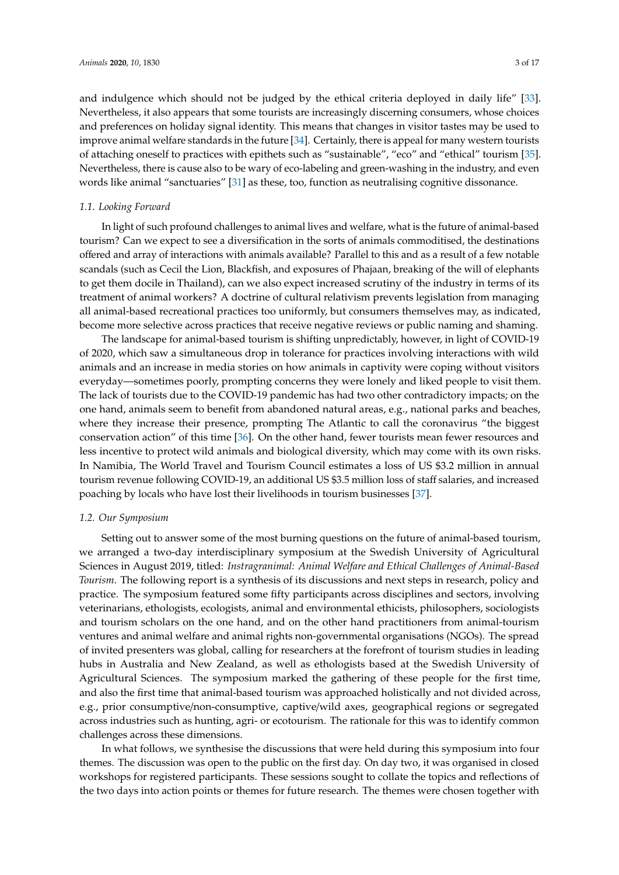and indulgence which should not be judged by the ethical criteria deployed in daily life" [\[33\]](#page-14-3). Nevertheless, it also appears that some tourists are increasingly discerning consumers, whose choices and preferences on holiday signal identity. This means that changes in visitor tastes may be used to improve animal welfare standards in the future [\[34\]](#page-14-4). Certainly, there is appeal for many western tourists of attaching oneself to practices with epithets such as "sustainable", "eco" and "ethical" tourism [\[35\]](#page-14-5). Nevertheless, there is cause also to be wary of eco-labeling and green-washing in the industry, and even words like animal "sanctuaries" [\[31\]](#page-14-1) as these, too, function as neutralising cognitive dissonance.

## *1.1. Looking Forward*

In light of such profound challenges to animal lives and welfare, what is the future of animal-based tourism? Can we expect to see a diversification in the sorts of animals commoditised, the destinations offered and array of interactions with animals available? Parallel to this and as a result of a few notable scandals (such as Cecil the Lion, Blackfish, and exposures of Phajaan, breaking of the will of elephants to get them docile in Thailand), can we also expect increased scrutiny of the industry in terms of its treatment of animal workers? A doctrine of cultural relativism prevents legislation from managing all animal-based recreational practices too uniformly, but consumers themselves may, as indicated, become more selective across practices that receive negative reviews or public naming and shaming.

The landscape for animal-based tourism is shifting unpredictably, however, in light of COVID-19 of 2020, which saw a simultaneous drop in tolerance for practices involving interactions with wild animals and an increase in media stories on how animals in captivity were coping without visitors everyday—sometimes poorly, prompting concerns they were lonely and liked people to visit them. The lack of tourists due to the COVID-19 pandemic has had two other contradictory impacts; on the one hand, animals seem to benefit from abandoned natural areas, e.g., national parks and beaches, where they increase their presence, prompting The Atlantic to call the coronavirus "the biggest conservation action" of this time [\[36\]](#page-14-6). On the other hand, fewer tourists mean fewer resources and less incentive to protect wild animals and biological diversity, which may come with its own risks. In Namibia, The World Travel and Tourism Council estimates a loss of US \$3.2 million in annual tourism revenue following COVID-19, an additional US \$3.5 million loss of staff salaries, and increased poaching by locals who have lost their livelihoods in tourism businesses [\[37\]](#page-14-7).

#### *1.2. Our Symposium*

Setting out to answer some of the most burning questions on the future of animal-based tourism, we arranged a two-day interdisciplinary symposium at the Swedish University of Agricultural Sciences in August 2019, titled: *Instragranimal: Animal Welfare and Ethical Challenges of Animal-Based Tourism*. The following report is a synthesis of its discussions and next steps in research, policy and practice. The symposium featured some fifty participants across disciplines and sectors, involving veterinarians, ethologists, ecologists, animal and environmental ethicists, philosophers, sociologists and tourism scholars on the one hand, and on the other hand practitioners from animal-tourism ventures and animal welfare and animal rights non-governmental organisations (NGOs). The spread of invited presenters was global, calling for researchers at the forefront of tourism studies in leading hubs in Australia and New Zealand, as well as ethologists based at the Swedish University of Agricultural Sciences. The symposium marked the gathering of these people for the first time, and also the first time that animal-based tourism was approached holistically and not divided across, e.g., prior consumptive/non-consumptive, captive/wild axes, geographical regions or segregated across industries such as hunting, agri- or ecotourism. The rationale for this was to identify common challenges across these dimensions.

In what follows, we synthesise the discussions that were held during this symposium into four themes. The discussion was open to the public on the first day. On day two, it was organised in closed workshops for registered participants. These sessions sought to collate the topics and reflections of the two days into action points or themes for future research. The themes were chosen together with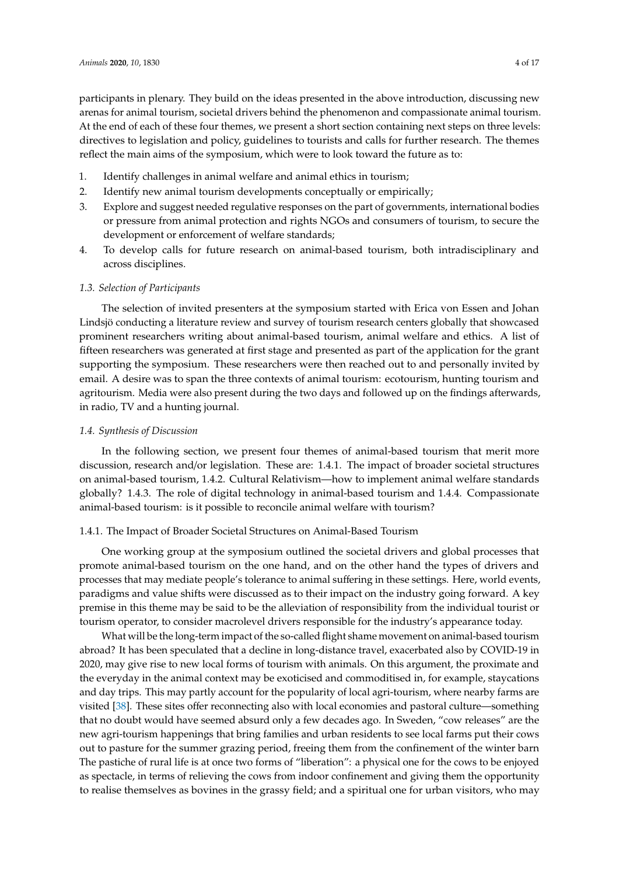participants in plenary. They build on the ideas presented in the above introduction, discussing new arenas for animal tourism, societal drivers behind the phenomenon and compassionate animal tourism. At the end of each of these four themes, we present a short section containing next steps on three levels: directives to legislation and policy, guidelines to tourists and calls for further research. The themes reflect the main aims of the symposium, which were to look toward the future as to:

- 1. Identify challenges in animal welfare and animal ethics in tourism;
- 2. Identify new animal tourism developments conceptually or empirically;
- 3. Explore and suggest needed regulative responses on the part of governments, international bodies or pressure from animal protection and rights NGOs and consumers of tourism, to secure the development or enforcement of welfare standards;
- 4. To develop calls for future research on animal-based tourism, both intradisciplinary and across disciplines.

# *1.3. Selection of Participants*

The selection of invited presenters at the symposium started with Erica von Essen and Johan Lindsjö conducting a literature review and survey of tourism research centers globally that showcased prominent researchers writing about animal-based tourism, animal welfare and ethics. A list of fifteen researchers was generated at first stage and presented as part of the application for the grant supporting the symposium. These researchers were then reached out to and personally invited by email. A desire was to span the three contexts of animal tourism: ecotourism, hunting tourism and agritourism. Media were also present during the two days and followed up on the findings afterwards, in radio, TV and a hunting journal.

#### *1.4. Synthesis of Discussion*

In the following section, we present four themes of animal-based tourism that merit more discussion, research and/or legislation. These are: 1.4.1. The impact of broader societal structures on animal-based tourism, 1.4.2. Cultural Relativism—how to implement animal welfare standards globally? 1.4.3. The role of digital technology in animal-based tourism and 1.4.4. Compassionate animal-based tourism: is it possible to reconcile animal welfare with tourism?

## 1.4.1. The Impact of Broader Societal Structures on Animal-Based Tourism

One working group at the symposium outlined the societal drivers and global processes that promote animal-based tourism on the one hand, and on the other hand the types of drivers and processes that may mediate people's tolerance to animal suffering in these settings. Here, world events, paradigms and value shifts were discussed as to their impact on the industry going forward. A key premise in this theme may be said to be the alleviation of responsibility from the individual tourist or tourism operator, to consider macrolevel drivers responsible for the industry's appearance today.

What will be the long-term impact of the so-called flight shame movement on animal-based tourism abroad? It has been speculated that a decline in long-distance travel, exacerbated also by COVID-19 in 2020, may give rise to new local forms of tourism with animals. On this argument, the proximate and the everyday in the animal context may be exoticised and commoditised in, for example, staycations and day trips. This may partly account for the popularity of local agri-tourism, where nearby farms are visited [\[38\]](#page-14-8). These sites offer reconnecting also with local economies and pastoral culture—something that no doubt would have seemed absurd only a few decades ago. In Sweden, "cow releases" are the new agri-tourism happenings that bring families and urban residents to see local farms put their cows out to pasture for the summer grazing period, freeing them from the confinement of the winter barn The pastiche of rural life is at once two forms of "liberation": a physical one for the cows to be enjoyed as spectacle, in terms of relieving the cows from indoor confinement and giving them the opportunity to realise themselves as bovines in the grassy field; and a spiritual one for urban visitors, who may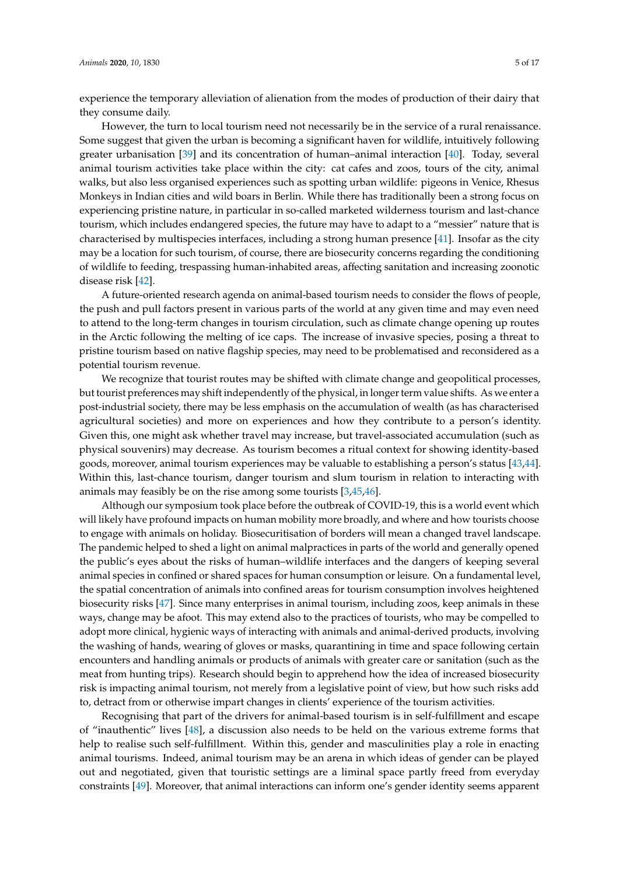experience the temporary alleviation of alienation from the modes of production of their dairy that they consume daily.

However, the turn to local tourism need not necessarily be in the service of a rural renaissance. Some suggest that given the urban is becoming a significant haven for wildlife, intuitively following greater urbanisation [\[39\]](#page-14-9) and its concentration of human–animal interaction [\[40\]](#page-14-10). Today, several animal tourism activities take place within the city: cat cafes and zoos, tours of the city, animal walks, but also less organised experiences such as spotting urban wildlife: pigeons in Venice, Rhesus Monkeys in Indian cities and wild boars in Berlin. While there has traditionally been a strong focus on experiencing pristine nature, in particular in so-called marketed wilderness tourism and last-chance tourism, which includes endangered species, the future may have to adapt to a "messier" nature that is characterised by multispecies interfaces, including a strong human presence [\[41\]](#page-14-11). Insofar as the city may be a location for such tourism, of course, there are biosecurity concerns regarding the conditioning of wildlife to feeding, trespassing human-inhabited areas, affecting sanitation and increasing zoonotic disease risk [\[42\]](#page-14-12).

A future-oriented research agenda on animal-based tourism needs to consider the flows of people, the push and pull factors present in various parts of the world at any given time and may even need to attend to the long-term changes in tourism circulation, such as climate change opening up routes in the Arctic following the melting of ice caps. The increase of invasive species, posing a threat to pristine tourism based on native flagship species, may need to be problematised and reconsidered as a potential tourism revenue.

We recognize that tourist routes may be shifted with climate change and geopolitical processes, but tourist preferences may shift independently of the physical, in longer term value shifts. As we enter a post-industrial society, there may be less emphasis on the accumulation of wealth (as has characterised agricultural societies) and more on experiences and how they contribute to a person's identity. Given this, one might ask whether travel may increase, but travel-associated accumulation (such as physical souvenirs) may decrease. As tourism becomes a ritual context for showing identity-based goods, moreover, animal tourism experiences may be valuable to establishing a person's status [\[43](#page-14-13)[,44\]](#page-14-14). Within this, last-chance tourism, danger tourism and slum tourism in relation to interacting with animals may feasibly be on the rise among some tourists [\[3](#page-12-2)[,45](#page-14-15)[,46\]](#page-14-16).

Although our symposium took place before the outbreak of COVID-19, this is a world event which will likely have profound impacts on human mobility more broadly, and where and how tourists choose to engage with animals on holiday. Biosecuritisation of borders will mean a changed travel landscape. The pandemic helped to shed a light on animal malpractices in parts of the world and generally opened the public's eyes about the risks of human–wildlife interfaces and the dangers of keeping several animal species in confined or shared spaces for human consumption or leisure. On a fundamental level, the spatial concentration of animals into confined areas for tourism consumption involves heightened biosecurity risks [\[47\]](#page-14-17). Since many enterprises in animal tourism, including zoos, keep animals in these ways, change may be afoot. This may extend also to the practices of tourists, who may be compelled to adopt more clinical, hygienic ways of interacting with animals and animal-derived products, involving the washing of hands, wearing of gloves or masks, quarantining in time and space following certain encounters and handling animals or products of animals with greater care or sanitation (such as the meat from hunting trips). Research should begin to apprehend how the idea of increased biosecurity risk is impacting animal tourism, not merely from a legislative point of view, but how such risks add to, detract from or otherwise impart changes in clients' experience of the tourism activities.

Recognising that part of the drivers for animal-based tourism is in self-fulfillment and escape of "inauthentic" lives [\[48\]](#page-14-18), a discussion also needs to be held on the various extreme forms that help to realise such self-fulfillment. Within this, gender and masculinities play a role in enacting animal tourisms. Indeed, animal tourism may be an arena in which ideas of gender can be played out and negotiated, given that touristic settings are a liminal space partly freed from everyday constraints [\[49\]](#page-14-19). Moreover, that animal interactions can inform one's gender identity seems apparent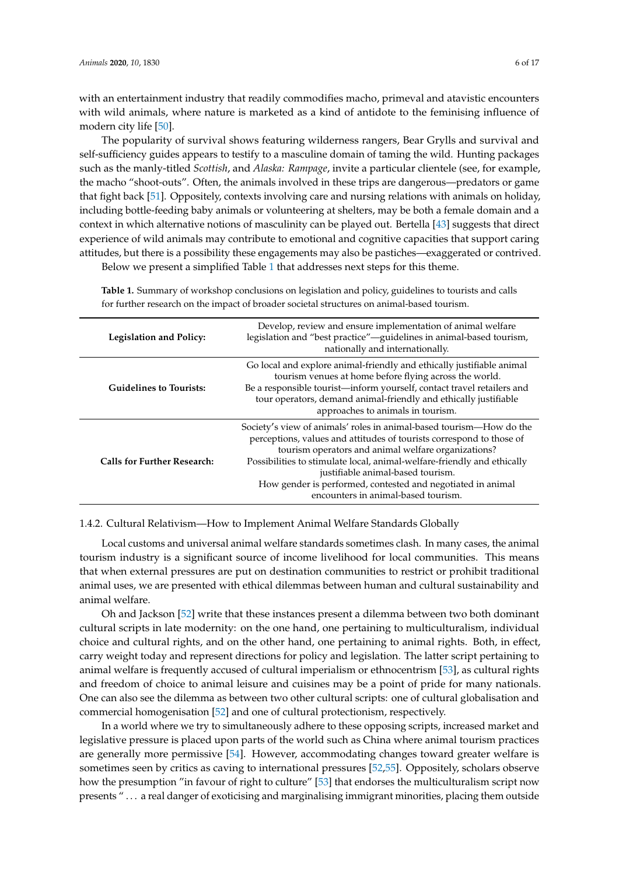with an entertainment industry that readily commodifies macho, primeval and atavistic encounters with wild animals, where nature is marketed as a kind of antidote to the feminising influence of modern city life [\[50\]](#page-14-20).

The popularity of survival shows featuring wilderness rangers, Bear Grylls and survival and self-sufficiency guides appears to testify to a masculine domain of taming the wild. Hunting packages such as the manly-titled *Scottish*, and *Alaska: Rampage*, invite a particular clientele (see, for example, the macho "shoot-outs". Often, the animals involved in these trips are dangerous—predators or game that fight back [\[51\]](#page-14-21). Oppositely, contexts involving care and nursing relations with animals on holiday, including bottle-feeding baby animals or volunteering at shelters, may be both a female domain and a context in which alternative notions of masculinity can be played out. Bertella [\[43\]](#page-14-13) suggests that direct experience of wild animals may contribute to emotional and cognitive capacities that support caring attitudes, but there is a possibility these engagements may also be pastiches—exaggerated or contrived.

Below we present a simplified Table [1](#page-5-0) that addresses next steps for this theme.

<span id="page-5-0"></span>**Table 1.** Summary of workshop conclusions on legislation and policy, guidelines to tourists and calls for further research on the impact of broader societal structures on animal-based tourism.

| <b>Legislation and Policy:</b>     | Develop, review and ensure implementation of animal welfare<br>legislation and "best practice"—guidelines in animal-based tourism,<br>nationally and internationally.                                                                                                                                                                                                                                                    |
|------------------------------------|--------------------------------------------------------------------------------------------------------------------------------------------------------------------------------------------------------------------------------------------------------------------------------------------------------------------------------------------------------------------------------------------------------------------------|
| <b>Guidelines to Tourists:</b>     | Go local and explore animal-friendly and ethically justifiable animal<br>tourism venues at home before flying across the world.<br>Be a responsible tourist—inform yourself, contact travel retailers and<br>tour operators, demand animal-friendly and ethically justifiable<br>approaches to animals in tourism.                                                                                                       |
| <b>Calls for Further Research:</b> | Society's view of animals' roles in animal-based tourism—How do the<br>perceptions, values and attitudes of tourists correspond to those of<br>tourism operators and animal welfare organizations?<br>Possibilities to stimulate local, animal-welfare-friendly and ethically<br>justifiable animal-based tourism.<br>How gender is performed, contested and negotiated in animal<br>encounters in animal-based tourism. |

1.4.2. Cultural Relativism—How to Implement Animal Welfare Standards Globally

Local customs and universal animal welfare standards sometimes clash. In many cases, the animal tourism industry is a significant source of income livelihood for local communities. This means that when external pressures are put on destination communities to restrict or prohibit traditional animal uses, we are presented with ethical dilemmas between human and cultural sustainability and animal welfare.

Oh and Jackson [\[52\]](#page-14-22) write that these instances present a dilemma between two both dominant cultural scripts in late modernity: on the one hand, one pertaining to multiculturalism, individual choice and cultural rights, and on the other hand, one pertaining to animal rights. Both, in effect, carry weight today and represent directions for policy and legislation. The latter script pertaining to animal welfare is frequently accused of cultural imperialism or ethnocentrism [\[53\]](#page-14-23), as cultural rights and freedom of choice to animal leisure and cuisines may be a point of pride for many nationals. One can also see the dilemma as between two other cultural scripts: one of cultural globalisation and commercial homogenisation [\[52\]](#page-14-22) and one of cultural protectionism, respectively.

In a world where we try to simultaneously adhere to these opposing scripts, increased market and legislative pressure is placed upon parts of the world such as China where animal tourism practices are generally more permissive [\[54\]](#page-14-24). However, accommodating changes toward greater welfare is sometimes seen by critics as caving to international pressures [\[52,](#page-14-22)[55\]](#page-15-0). Oppositely, scholars observe how the presumption "in favour of right to culture" [\[53\]](#page-14-23) that endorses the multiculturalism script now presents " . . . a real danger of exoticising and marginalising immigrant minorities, placing them outside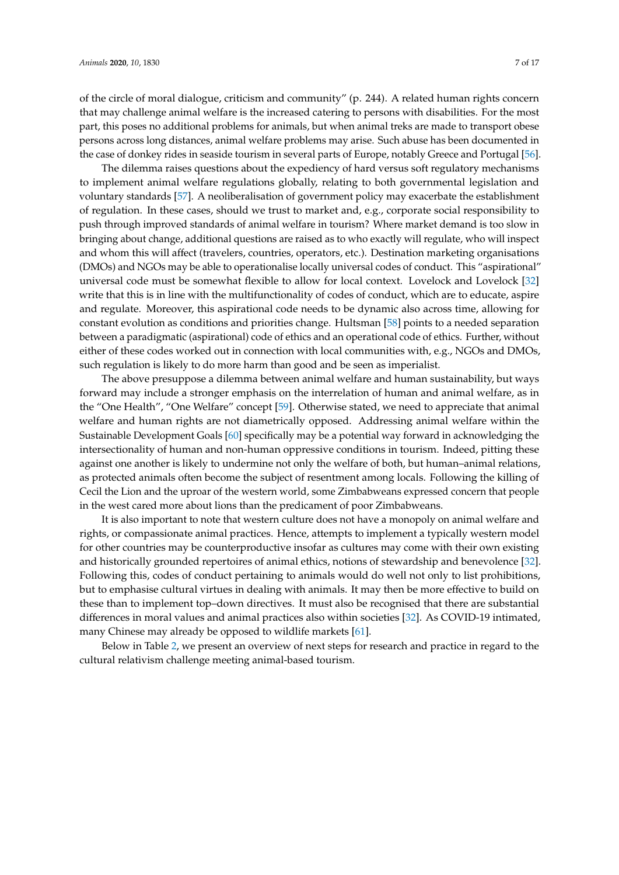of the circle of moral dialogue, criticism and community" (p. 244). A related human rights concern that may challenge animal welfare is the increased catering to persons with disabilities. For the most part, this poses no additional problems for animals, but when animal treks are made to transport obese persons across long distances, animal welfare problems may arise. Such abuse has been documented in the case of donkey rides in seaside tourism in several parts of Europe, notably Greece and Portugal [\[56\]](#page-15-1).

The dilemma raises questions about the expediency of hard versus soft regulatory mechanisms to implement animal welfare regulations globally, relating to both governmental legislation and voluntary standards [\[57\]](#page-15-2). A neoliberalisation of government policy may exacerbate the establishment of regulation. In these cases, should we trust to market and, e.g., corporate social responsibility to push through improved standards of animal welfare in tourism? Where market demand is too slow in bringing about change, additional questions are raised as to who exactly will regulate, who will inspect and whom this will affect (travelers, countries, operators, etc.). Destination marketing organisations (DMOs) and NGOs may be able to operationalise locally universal codes of conduct. This "aspirational" universal code must be somewhat flexible to allow for local context. Lovelock and Lovelock [\[32\]](#page-14-2) write that this is in line with the multifunctionality of codes of conduct, which are to educate, aspire and regulate. Moreover, this aspirational code needs to be dynamic also across time, allowing for constant evolution as conditions and priorities change. Hultsman [\[58\]](#page-15-3) points to a needed separation between a paradigmatic (aspirational) code of ethics and an operational code of ethics. Further, without either of these codes worked out in connection with local communities with, e.g., NGOs and DMOs, such regulation is likely to do more harm than good and be seen as imperialist.

The above presuppose a dilemma between animal welfare and human sustainability, but ways forward may include a stronger emphasis on the interrelation of human and animal welfare, as in the "One Health", "One Welfare" concept [\[59\]](#page-15-4). Otherwise stated, we need to appreciate that animal welfare and human rights are not diametrically opposed. Addressing animal welfare within the Sustainable Development Goals [\[60\]](#page-15-5) specifically may be a potential way forward in acknowledging the intersectionality of human and non-human oppressive conditions in tourism. Indeed, pitting these against one another is likely to undermine not only the welfare of both, but human–animal relations, as protected animals often become the subject of resentment among locals. Following the killing of Cecil the Lion and the uproar of the western world, some Zimbabweans expressed concern that people in the west cared more about lions than the predicament of poor Zimbabweans.

It is also important to note that western culture does not have a monopoly on animal welfare and rights, or compassionate animal practices. Hence, attempts to implement a typically western model for other countries may be counterproductive insofar as cultures may come with their own existing and historically grounded repertoires of animal ethics, notions of stewardship and benevolence [\[32\]](#page-14-2). Following this, codes of conduct pertaining to animals would do well not only to list prohibitions, but to emphasise cultural virtues in dealing with animals. It may then be more effective to build on these than to implement top–down directives. It must also be recognised that there are substantial differences in moral values and animal practices also within societies [\[32\]](#page-14-2). As COVID-19 intimated, many Chinese may already be opposed to wildlife markets [\[61\]](#page-15-6).

Below in Table [2,](#page-7-0) we present an overview of next steps for research and practice in regard to the cultural relativism challenge meeting animal-based tourism.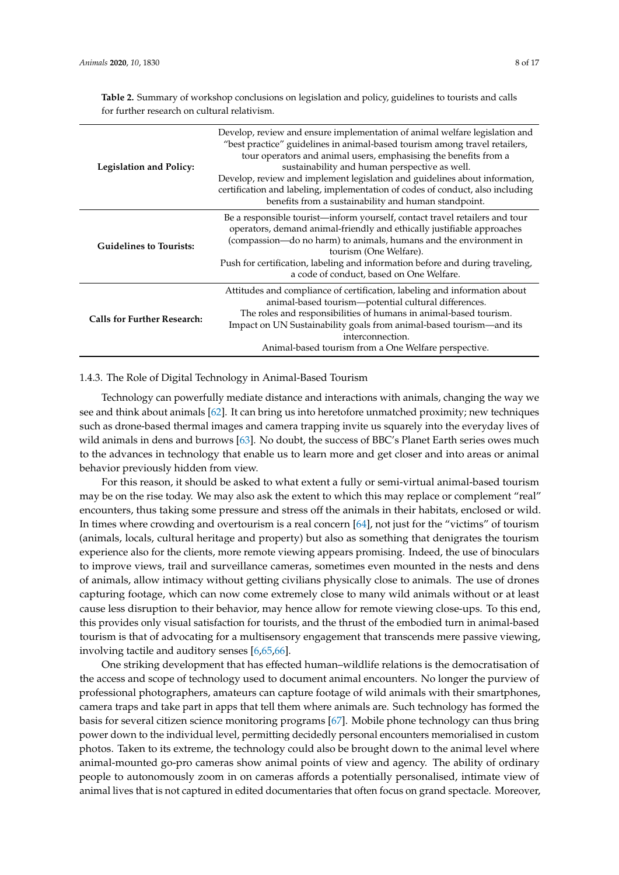| Legislation and Policy:            | Develop, review and ensure implementation of animal welfare legislation and<br>"best practice" guidelines in animal-based tourism among travel retailers,<br>tour operators and animal users, emphasising the benefits from a<br>sustainability and human perspective as well.<br>Develop, review and implement legislation and guidelines about information,<br>certification and labeling, implementation of codes of conduct, also including<br>benefits from a sustainability and human standpoint. |
|------------------------------------|---------------------------------------------------------------------------------------------------------------------------------------------------------------------------------------------------------------------------------------------------------------------------------------------------------------------------------------------------------------------------------------------------------------------------------------------------------------------------------------------------------|
| <b>Guidelines to Tourists:</b>     | Be a responsible tourist—inform yourself, contact travel retailers and tour<br>operators, demand animal-friendly and ethically justifiable approaches<br>(compassion-do no harm) to animals, humans and the environment in<br>tourism (One Welfare).<br>Push for certification, labeling and information before and during traveling,<br>a code of conduct, based on One Welfare.                                                                                                                       |
| <b>Calls for Further Research:</b> | Attitudes and compliance of certification, labeling and information about<br>animal-based tourism-potential cultural differences.<br>The roles and responsibilities of humans in animal-based tourism.<br>Impact on UN Sustainability goals from animal-based tourism-and its<br>interconnection.<br>Animal-based tourism from a One Welfare perspective.                                                                                                                                               |

<span id="page-7-0"></span>**Table 2.** Summary of workshop conclusions on legislation and policy, guidelines to tourists and calls for further research on cultural relativism.

#### 1.4.3. The Role of Digital Technology in Animal-Based Tourism

Technology can powerfully mediate distance and interactions with animals, changing the way we see and think about animals [\[62\]](#page-15-7). It can bring us into heretofore unmatched proximity; new techniques such as drone-based thermal images and camera trapping invite us squarely into the everyday lives of wild animals in dens and burrows [\[63\]](#page-15-8). No doubt, the success of BBC's Planet Earth series owes much to the advances in technology that enable us to learn more and get closer and into areas or animal behavior previously hidden from view.

For this reason, it should be asked to what extent a fully or semi-virtual animal-based tourism may be on the rise today. We may also ask the extent to which this may replace or complement "real" encounters, thus taking some pressure and stress off the animals in their habitats, enclosed or wild. In times where crowding and overtourism is a real concern [\[64\]](#page-15-9), not just for the "victims" of tourism (animals, locals, cultural heritage and property) but also as something that denigrates the tourism experience also for the clients, more remote viewing appears promising. Indeed, the use of binoculars to improve views, trail and surveillance cameras, sometimes even mounted in the nests and dens of animals, allow intimacy without getting civilians physically close to animals. The use of drones capturing footage, which can now come extremely close to many wild animals without or at least cause less disruption to their behavior, may hence allow for remote viewing close-ups. To this end, this provides only visual satisfaction for tourists, and the thrust of the embodied turn in animal-based tourism is that of advocating for a multisensory engagement that transcends mere passive viewing, involving tactile and auditory senses [\[6](#page-13-0)[,65](#page-15-10)[,66\]](#page-15-11).

One striking development that has effected human–wildlife relations is the democratisation of the access and scope of technology used to document animal encounters. No longer the purview of professional photographers, amateurs can capture footage of wild animals with their smartphones, camera traps and take part in apps that tell them where animals are. Such technology has formed the basis for several citizen science monitoring programs [\[67\]](#page-15-12). Mobile phone technology can thus bring power down to the individual level, permitting decidedly personal encounters memorialised in custom photos. Taken to its extreme, the technology could also be brought down to the animal level where animal-mounted go-pro cameras show animal points of view and agency. The ability of ordinary people to autonomously zoom in on cameras affords a potentially personalised, intimate view of animal lives that is not captured in edited documentaries that often focus on grand spectacle. Moreover,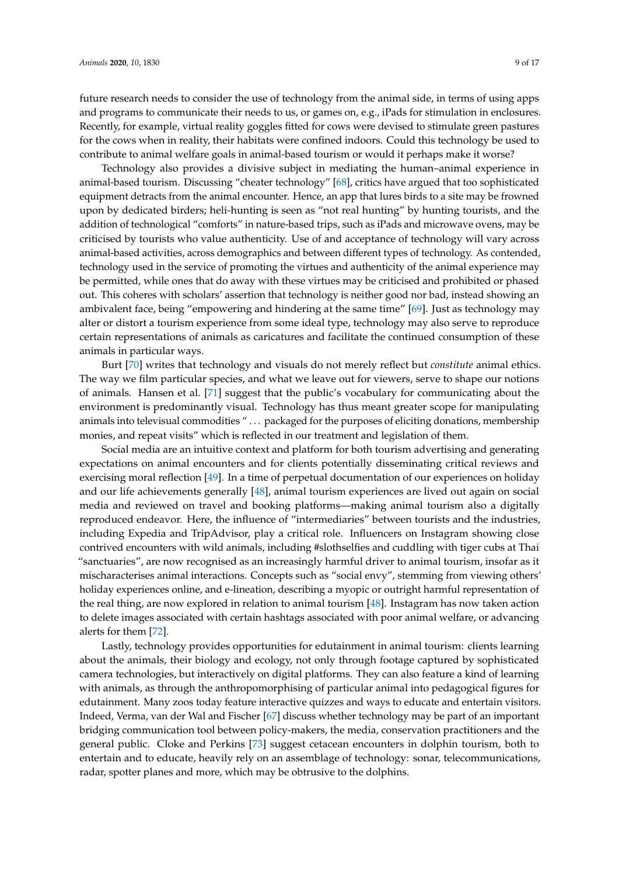future research needs to consider the use of technology from the animal side, in terms of using apps and programs to communicate their needs to us, or games on, e.g., iPads for stimulation in enclosures. Recently, for example, virtual reality goggles fitted for cows were devised to stimulate green pastures for the cows when in reality, their habitats were confined indoors. Could this technology be used to contribute to animal welfare goals in animal-based tourism or would it perhaps make it worse?

Technology also provides a divisive subject in mediating the human–animal experience in animal-based tourism. Discussing "cheater technology" [\[68\]](#page-15-13), critics have argued that too sophisticated equipment detracts from the animal encounter. Hence, an app that lures birds to a site may be frowned upon by dedicated birders; heli-hunting is seen as "not real hunting" by hunting tourists, and the addition of technological "comforts" in nature-based trips, such as iPads and microwave ovens, may be criticised by tourists who value authenticity. Use of and acceptance of technology will vary across animal-based activities, across demographics and between different types of technology. As contended, technology used in the service of promoting the virtues and authenticity of the animal experience may be permitted, while ones that do away with these virtues may be criticised and prohibited or phased out. This coheres with scholars' assertion that technology is neither good nor bad, instead showing an ambivalent face, being "empowering and hindering at the same time" [\[69\]](#page-15-14). Just as technology may alter or distort a tourism experience from some ideal type, technology may also serve to reproduce certain representations of animals as caricatures and facilitate the continued consumption of these animals in particular ways.

Burt [\[70\]](#page-15-15) writes that technology and visuals do not merely reflect but *constitute* animal ethics. The way we film particular species, and what we leave out for viewers, serve to shape our notions of animals. Hansen et al. [\[71\]](#page-15-16) suggest that the public's vocabulary for communicating about the environment is predominantly visual. Technology has thus meant greater scope for manipulating animals into televisual commodities " . . . packaged for the purposes of eliciting donations, membership monies, and repeat visits" which is reflected in our treatment and legislation of them.

Social media are an intuitive context and platform for both tourism advertising and generating expectations on animal encounters and for clients potentially disseminating critical reviews and exercising moral reflection [\[49\]](#page-14-19). In a time of perpetual documentation of our experiences on holiday and our life achievements generally [\[48\]](#page-14-18), animal tourism experiences are lived out again on social media and reviewed on travel and booking platforms—making animal tourism also a digitally reproduced endeavor. Here, the influence of "intermediaries" between tourists and the industries, including Expedia and TripAdvisor, play a critical role. Influencers on Instagram showing close contrived encounters with wild animals, including #slothselfies and cuddling with tiger cubs at Thai "sanctuaries", are now recognised as an increasingly harmful driver to animal tourism, insofar as it mischaracterises animal interactions. Concepts such as "social envy", stemming from viewing others' holiday experiences online, and e-lineation, describing a myopic or outright harmful representation of the real thing, are now explored in relation to animal tourism [\[48\]](#page-14-18). Instagram has now taken action to delete images associated with certain hashtags associated with poor animal welfare, or advancing alerts for them [\[72\]](#page-15-17).

Lastly, technology provides opportunities for edutainment in animal tourism: clients learning about the animals, their biology and ecology, not only through footage captured by sophisticated camera technologies, but interactively on digital platforms. They can also feature a kind of learning with animals, as through the anthropomorphising of particular animal into pedagogical figures for edutainment. Many zoos today feature interactive quizzes and ways to educate and entertain visitors. Indeed, Verma, van der Wal and Fischer [\[67\]](#page-15-12) discuss whether technology may be part of an important bridging communication tool between policy-makers, the media, conservation practitioners and the general public. Cloke and Perkins [\[73\]](#page-15-18) suggest cetacean encounters in dolphin tourism, both to entertain and to educate, heavily rely on an assemblage of technology: sonar, telecommunications, radar, spotter planes and more, which may be obtrusive to the dolphins.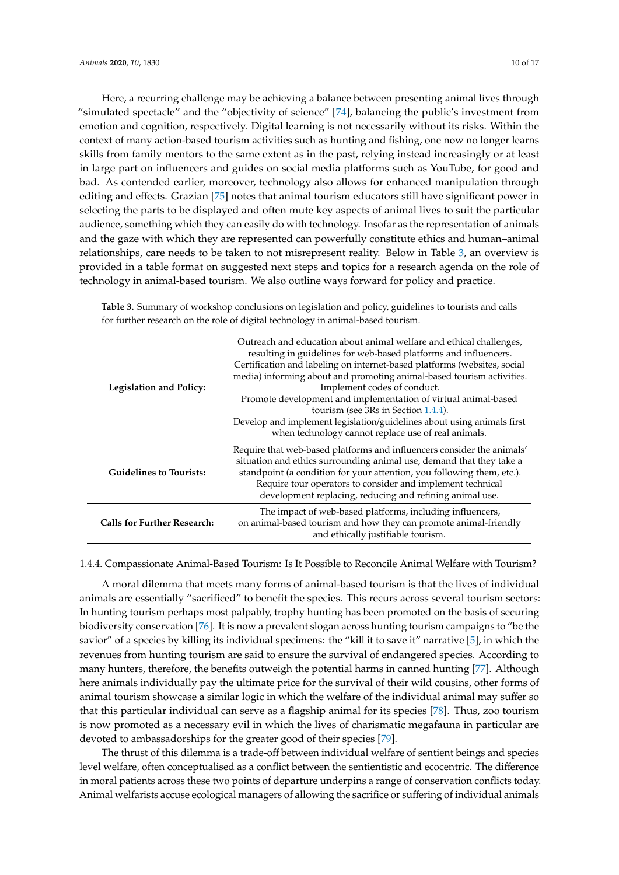Here, a recurring challenge may be achieving a balance between presenting animal lives through "simulated spectacle" and the "objectivity of science" [\[74\]](#page-15-19), balancing the public's investment from emotion and cognition, respectively. Digital learning is not necessarily without its risks. Within the context of many action-based tourism activities such as hunting and fishing, one now no longer learns skills from family mentors to the same extent as in the past, relying instead increasingly or at least in large part on influencers and guides on social media platforms such as YouTube, for good and bad. As contended earlier, moreover, technology also allows for enhanced manipulation through editing and effects. Grazian [\[75\]](#page-15-20) notes that animal tourism educators still have significant power in selecting the parts to be displayed and often mute key aspects of animal lives to suit the particular audience, something which they can easily do with technology. Insofar as the representation of animals and the gaze with which they are represented can powerfully constitute ethics and human–animal

relationships, care needs to be taken to not misrepresent reality. Below in Table [3,](#page-9-0) an overview is provided in a table format on suggested next steps and topics for a research agenda on the role of technology in animal-based tourism. We also outline ways forward for policy and practice.

| Legislation and Policy:            | Outreach and education about animal welfare and ethical challenges,<br>resulting in guidelines for web-based platforms and influencers.<br>Certification and labeling on internet-based platforms (websites, social<br>media) informing about and promoting animal-based tourism activities.<br>Implement codes of conduct.<br>Promote development and implementation of virtual animal-based<br>tourism (see 3Rs in Section 1.4.4).<br>Develop and implement legislation/guidelines about using animals first<br>when technology cannot replace use of real animals. |
|------------------------------------|-----------------------------------------------------------------------------------------------------------------------------------------------------------------------------------------------------------------------------------------------------------------------------------------------------------------------------------------------------------------------------------------------------------------------------------------------------------------------------------------------------------------------------------------------------------------------|
| <b>Guidelines to Tourists:</b>     | Require that web-based platforms and influencers consider the animals'<br>situation and ethics surrounding animal use, demand that they take a<br>standpoint (a condition for your attention, you following them, etc.).<br>Require tour operators to consider and implement technical<br>development replacing, reducing and refining animal use.                                                                                                                                                                                                                    |
| <b>Calls for Further Research:</b> | The impact of web-based platforms, including influencers,<br>on animal-based tourism and how they can promote animal-friendly<br>and ethically justifiable tourism.                                                                                                                                                                                                                                                                                                                                                                                                   |

<span id="page-9-0"></span>**Table 3.** Summary of workshop conclusions on legislation and policy, guidelines to tourists and calls for further research on the role of digital technology in animal-based tourism.

<span id="page-9-1"></span>1.4.4. Compassionate Animal-Based Tourism: Is It Possible to Reconcile Animal Welfare with Tourism?

A moral dilemma that meets many forms of animal-based tourism is that the lives of individual animals are essentially "sacrificed" to benefit the species. This recurs across several tourism sectors: In hunting tourism perhaps most palpably, trophy hunting has been promoted on the basis of securing biodiversity conservation [\[76\]](#page-15-21). It is now a prevalent slogan across hunting tourism campaigns to "be the savior" of a species by killing its individual specimens: the "kill it to save it" narrative [\[5\]](#page-12-4), in which the revenues from hunting tourism are said to ensure the survival of endangered species. According to many hunters, therefore, the benefits outweigh the potential harms in canned hunting [\[77\]](#page-15-22). Although here animals individually pay the ultimate price for the survival of their wild cousins, other forms of animal tourism showcase a similar logic in which the welfare of the individual animal may suffer so that this particular individual can serve as a flagship animal for its species [\[78\]](#page-15-23). Thus, zoo tourism is now promoted as a necessary evil in which the lives of charismatic megafauna in particular are devoted to ambassadorships for the greater good of their species [\[79\]](#page-15-24).

The thrust of this dilemma is a trade-off between individual welfare of sentient beings and species level welfare, often conceptualised as a conflict between the sentientistic and ecocentric. The difference in moral patients across these two points of departure underpins a range of conservation conflicts today. Animal welfarists accuse ecological managers of allowing the sacrifice or suffering of individual animals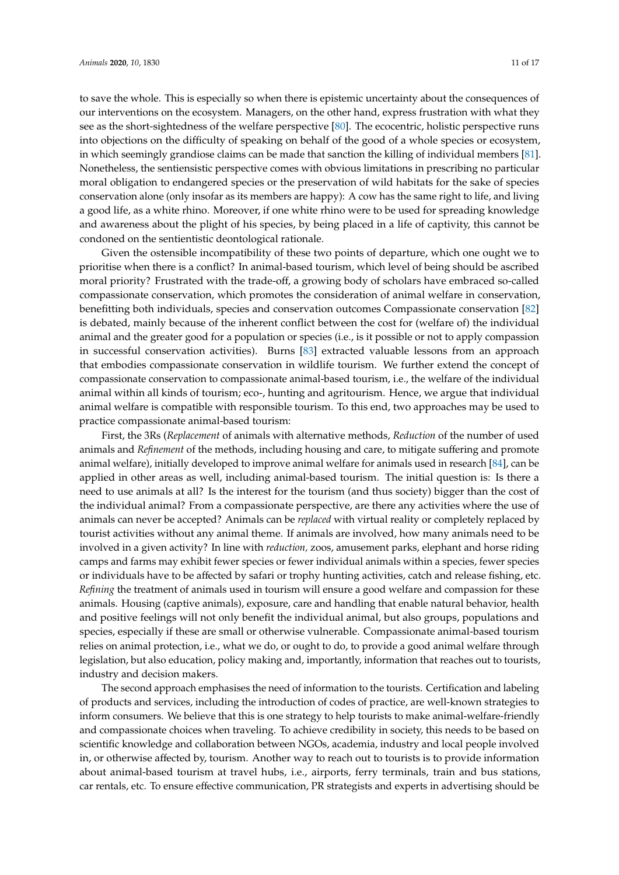to save the whole. This is especially so when there is epistemic uncertainty about the consequences of our interventions on the ecosystem. Managers, on the other hand, express frustration with what they see as the short-sightedness of the welfare perspective [\[80\]](#page-16-0). The ecocentric, holistic perspective runs into objections on the difficulty of speaking on behalf of the good of a whole species or ecosystem, in which seemingly grandiose claims can be made that sanction the killing of individual members [\[81\]](#page-16-1). Nonetheless, the sentiensistic perspective comes with obvious limitations in prescribing no particular moral obligation to endangered species or the preservation of wild habitats for the sake of species conservation alone (only insofar as its members are happy): A cow has the same right to life, and living a good life, as a white rhino. Moreover, if one white rhino were to be used for spreading knowledge and awareness about the plight of his species, by being placed in a life of captivity, this cannot be condoned on the sentientistic deontological rationale.

Given the ostensible incompatibility of these two points of departure, which one ought we to prioritise when there is a conflict? In animal-based tourism, which level of being should be ascribed moral priority? Frustrated with the trade-off, a growing body of scholars have embraced so-called compassionate conservation, which promotes the consideration of animal welfare in conservation, benefitting both individuals, species and conservation outcomes Compassionate conservation [\[82\]](#page-16-2) is debated, mainly because of the inherent conflict between the cost for (welfare of) the individual animal and the greater good for a population or species (i.e., is it possible or not to apply compassion in successful conservation activities). Burns [\[83\]](#page-16-3) extracted valuable lessons from an approach that embodies compassionate conservation in wildlife tourism. We further extend the concept of compassionate conservation to compassionate animal-based tourism, i.e., the welfare of the individual animal within all kinds of tourism; eco-, hunting and agritourism. Hence, we argue that individual animal welfare is compatible with responsible tourism. To this end, two approaches may be used to practice compassionate animal-based tourism:

First, the 3Rs (*Replacement* of animals with alternative methods, *Reduction* of the number of used animals and *Refinement* of the methods, including housing and care, to mitigate suffering and promote animal welfare), initially developed to improve animal welfare for animals used in research [\[84\]](#page-16-4), can be applied in other areas as well, including animal-based tourism. The initial question is: Is there a need to use animals at all? Is the interest for the tourism (and thus society) bigger than the cost of the individual animal? From a compassionate perspective, are there any activities where the use of animals can never be accepted? Animals can be *replaced* with virtual reality or completely replaced by tourist activities without any animal theme. If animals are involved, how many animals need to be involved in a given activity? In line with *reduction,* zoos, amusement parks, elephant and horse riding camps and farms may exhibit fewer species or fewer individual animals within a species, fewer species or individuals have to be affected by safari or trophy hunting activities, catch and release fishing, etc. *Refining* the treatment of animals used in tourism will ensure a good welfare and compassion for these animals. Housing (captive animals), exposure, care and handling that enable natural behavior, health and positive feelings will not only benefit the individual animal, but also groups, populations and species, especially if these are small or otherwise vulnerable. Compassionate animal-based tourism relies on animal protection, i.e., what we do, or ought to do, to provide a good animal welfare through legislation, but also education, policy making and, importantly, information that reaches out to tourists, industry and decision makers.

The second approach emphasises the need of information to the tourists. Certification and labeling of products and services, including the introduction of codes of practice, are well-known strategies to inform consumers. We believe that this is one strategy to help tourists to make animal-welfare-friendly and compassionate choices when traveling. To achieve credibility in society, this needs to be based on scientific knowledge and collaboration between NGOs, academia, industry and local people involved in, or otherwise affected by, tourism. Another way to reach out to tourists is to provide information about animal-based tourism at travel hubs, i.e., airports, ferry terminals, train and bus stations, car rentals, etc. To ensure effective communication, PR strategists and experts in advertising should be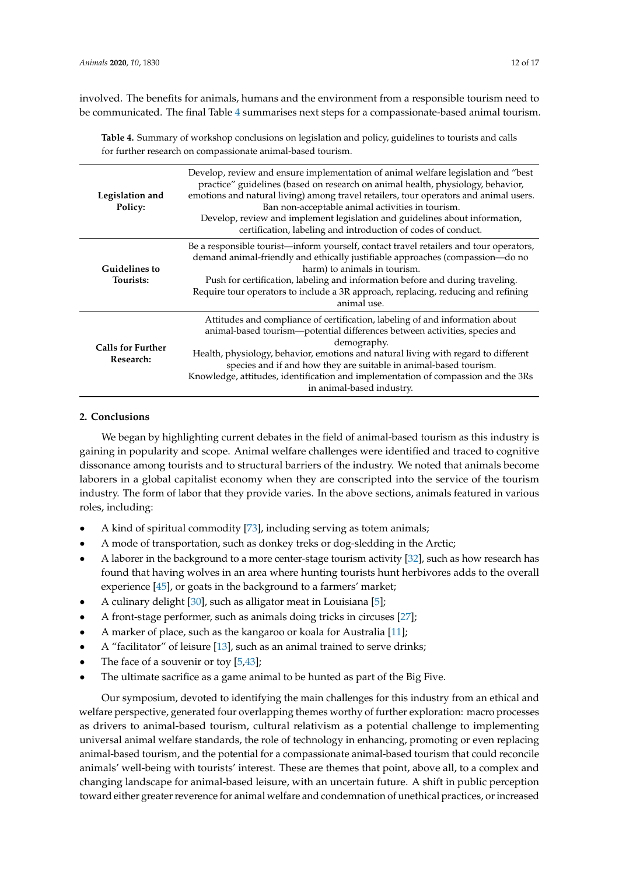involved. The benefits for animals, humans and the environment from a responsible tourism need to be communicated. The final Table [4](#page-11-0) summarises next steps for a compassionate-based animal tourism.

<span id="page-11-0"></span>**Table 4.** Summary of workshop conclusions on legislation and policy, guidelines to tourists and calls for further research on compassionate animal-based tourism.

| Legislation and<br>Policy:            | Develop, review and ensure implementation of animal welfare legislation and "best<br>practice" guidelines (based on research on animal health, physiology, behavior,<br>emotions and natural living) among travel retailers, tour operators and animal users.<br>Ban non-acceptable animal activities in tourism.<br>Develop, review and implement legislation and guidelines about information,<br>certification, labeling and introduction of codes of conduct. |
|---------------------------------------|-------------------------------------------------------------------------------------------------------------------------------------------------------------------------------------------------------------------------------------------------------------------------------------------------------------------------------------------------------------------------------------------------------------------------------------------------------------------|
| Guidelines to<br>Tourists:            | Be a responsible tourist—inform yourself, contact travel retailers and tour operators,<br>demand animal-friendly and ethically justifiable approaches (compassion—do no<br>harm) to animals in tourism.<br>Push for certification, labeling and information before and during traveling.<br>Require tour operators to include a 3R approach, replacing, reducing and refining<br>animal use.                                                                      |
| <b>Calls for Further</b><br>Research: | Attitudes and compliance of certification, labeling of and information about<br>animal-based tourism-potential differences between activities, species and<br>demography.<br>Health, physiology, behavior, emotions and natural living with regard to different<br>species and if and how they are suitable in animal-based tourism.<br>Knowledge, attitudes, identification and implementation of compassion and the 3Rs<br>in animal-based industry.            |

# **2. Conclusions**

We began by highlighting current debates in the field of animal-based tourism as this industry is gaining in popularity and scope. Animal welfare challenges were identified and traced to cognitive dissonance among tourists and to structural barriers of the industry. We noted that animals become laborers in a global capitalist economy when they are conscripted into the service of the tourism industry. The form of labor that they provide varies. In the above sections, animals featured in various roles, including:

- A kind of spiritual commodity [\[73\]](#page-15-18), including serving as totem animals;
- A mode of transportation, such as donkey treks or dog-sledding in the Arctic;
- A laborer in the background to a more center-stage tourism activity [\[32\]](#page-14-2), such as how research has found that having wolves in an area where hunting tourists hunt herbivores adds to the overall experience [\[45\]](#page-14-15), or goats in the background to a farmers' market;
- A culinary delight [\[30\]](#page-14-0), such as alligator meat in Louisiana [\[5\]](#page-12-4);
- A front-stage performer, such as animals doing tricks in circuses [\[27\]](#page-13-21);
- A marker of place, such as the kangaroo or koala for Australia [\[11\]](#page-13-5);
- A "facilitator" of leisure [\[13\]](#page-13-7), such as an animal trained to serve drinks;
- The face of a souvenir or toy  $[5,43]$  $[5,43]$ ;
- The ultimate sacrifice as a game animal to be hunted as part of the Big Five.

Our symposium, devoted to identifying the main challenges for this industry from an ethical and welfare perspective, generated four overlapping themes worthy of further exploration: macro processes as drivers to animal-based tourism, cultural relativism as a potential challenge to implementing universal animal welfare standards, the role of technology in enhancing, promoting or even replacing animal-based tourism, and the potential for a compassionate animal-based tourism that could reconcile animals' well-being with tourists' interest. These are themes that point, above all, to a complex and changing landscape for animal-based leisure, with an uncertain future. A shift in public perception toward either greater reverence for animal welfare and condemnation of unethical practices, or increased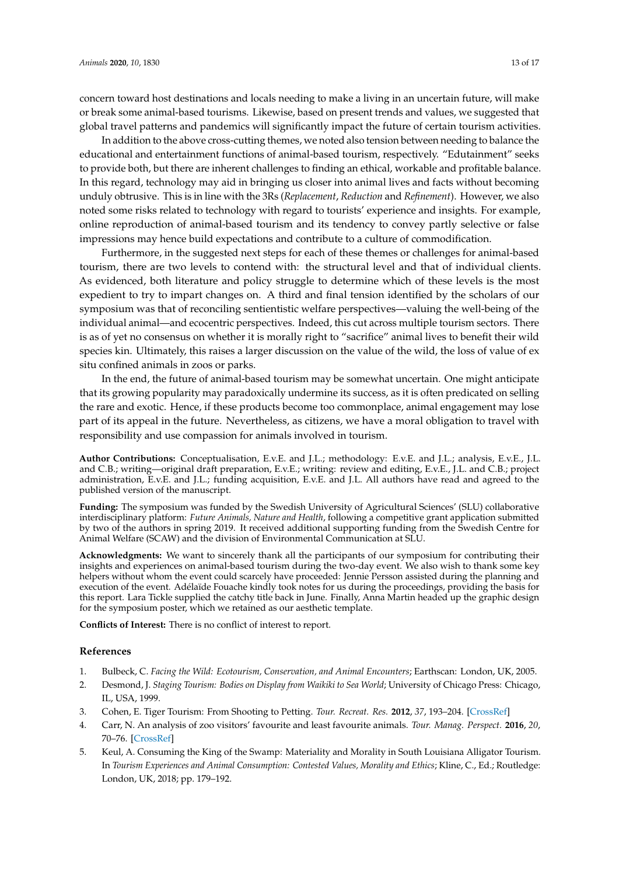concern toward host destinations and locals needing to make a living in an uncertain future, will make or break some animal-based tourisms. Likewise, based on present trends and values, we suggested that global travel patterns and pandemics will significantly impact the future of certain tourism activities.

In addition to the above cross-cutting themes, we noted also tension between needing to balance the educational and entertainment functions of animal-based tourism, respectively. "Edutainment" seeks to provide both, but there are inherent challenges to finding an ethical, workable and profitable balance. In this regard, technology may aid in bringing us closer into animal lives and facts without becoming unduly obtrusive. This is in line with the 3Rs (*Replacement*, *Reduction* and *Refinement*). However, we also noted some risks related to technology with regard to tourists' experience and insights. For example, online reproduction of animal-based tourism and its tendency to convey partly selective or false impressions may hence build expectations and contribute to a culture of commodification.

Furthermore, in the suggested next steps for each of these themes or challenges for animal-based tourism, there are two levels to contend with: the structural level and that of individual clients. As evidenced, both literature and policy struggle to determine which of these levels is the most expedient to try to impart changes on. A third and final tension identified by the scholars of our symposium was that of reconciling sentientistic welfare perspectives—valuing the well-being of the individual animal—and ecocentric perspectives. Indeed, this cut across multiple tourism sectors. There is as of yet no consensus on whether it is morally right to "sacrifice" animal lives to benefit their wild species kin. Ultimately, this raises a larger discussion on the value of the wild, the loss of value of ex situ confined animals in zoos or parks.

In the end, the future of animal-based tourism may be somewhat uncertain. One might anticipate that its growing popularity may paradoxically undermine its success, as it is often predicated on selling the rare and exotic. Hence, if these products become too commonplace, animal engagement may lose part of its appeal in the future. Nevertheless, as citizens, we have a moral obligation to travel with responsibility and use compassion for animals involved in tourism.

**Author Contributions:** Conceptualisation, E.v.E. and J.L.; methodology: E.v.E. and J.L.; analysis, E.v.E., J.L. and C.B.; writing—original draft preparation, E.v.E.; writing: review and editing, E.v.E., J.L. and C.B.; project administration, E.v.E. and J.L.; funding acquisition, E.v.E. and J.L. All authors have read and agreed to the published version of the manuscript.

**Funding:** The symposium was funded by the Swedish University of Agricultural Sciences' (SLU) collaborative interdisciplinary platform: *Future Animals, Nature and Health*, following a competitive grant application submitted by two of the authors in spring 2019. It received additional supporting funding from the Swedish Centre for Animal Welfare (SCAW) and the division of Environmental Communication at SLU.

**Acknowledgments:** We want to sincerely thank all the participants of our symposium for contributing their insights and experiences on animal-based tourism during the two-day event. We also wish to thank some key helpers without whom the event could scarcely have proceeded: Jennie Persson assisted during the planning and execution of the event. Adélaïde Fouache kindly took notes for us during the proceedings, providing the basis for this report. Lara Tickle supplied the catchy title back in June. Finally, Anna Martin headed up the graphic design for the symposium poster, which we retained as our aesthetic template.

**Conflicts of Interest:** There is no conflict of interest to report.

# **References**

- <span id="page-12-1"></span><span id="page-12-0"></span>1. Bulbeck, C. *Facing the Wild: Ecotourism, Conservation, and Animal Encounters*; Earthscan: London, UK, 2005.
- 2. Desmond, J. *Staging Tourism: Bodies on Display from Waikiki to Sea World*; University of Chicago Press: Chicago, IL, USA, 1999.
- <span id="page-12-2"></span>3. Cohen, E. Tiger Tourism: From Shooting to Petting. *Tour. Recreat. Res.* **2012**, *37*, 193–204. [\[CrossRef\]](http://dx.doi.org/10.1080/02508281.2012.11081708)
- <span id="page-12-3"></span>4. Carr, N. An analysis of zoo visitors' favourite and least favourite animals. *Tour. Manag. Perspect.* **2016**, *20*, 70–76. [\[CrossRef\]](http://dx.doi.org/10.1016/j.tmp.2016.07.006)
- <span id="page-12-4"></span>5. Keul, A. Consuming the King of the Swamp: Materiality and Morality in South Louisiana Alligator Tourism. In *Tourism Experiences and Animal Consumption: Contested Values, Morality and Ethics*; Kline, C., Ed.; Routledge: London, UK, 2018; pp. 179–192.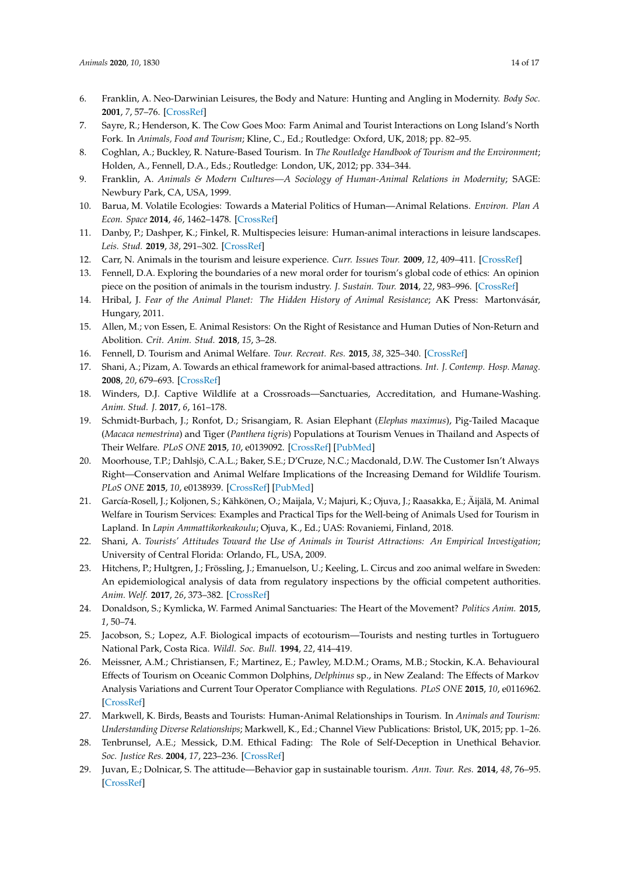- <span id="page-13-0"></span>6. Franklin, A. Neo-Darwinian Leisures, the Body and Nature: Hunting and Angling in Modernity. *Body Soc.* **2001**, *7*, 57–76. [\[CrossRef\]](http://dx.doi.org/10.1177/1357034X01007004004)
- <span id="page-13-1"></span>7. Sayre, R.; Henderson, K. The Cow Goes Moo: Farm Animal and Tourist Interactions on Long Island's North Fork. In *Animals, Food and Tourism*; Kline, C., Ed.; Routledge: Oxford, UK, 2018; pp. 82–95.
- <span id="page-13-2"></span>8. Coghlan, A.; Buckley, R. Nature-Based Tourism. In *The Routledge Handbook of Tourism and the Environment*; Holden, A., Fennell, D.A., Eds.; Routledge: London, UK, 2012; pp. 334–344.
- <span id="page-13-3"></span>9. Franklin, A. *Animals & Modern Cultures—A Sociology of Human-Animal Relations in Modernity*; SAGE: Newbury Park, CA, USA, 1999.
- <span id="page-13-4"></span>10. Barua, M. Volatile Ecologies: Towards a Material Politics of Human—Animal Relations. *Environ. Plan A Econ. Space* **2014**, *46*, 1462–1478. [\[CrossRef\]](http://dx.doi.org/10.1068/a46138)
- <span id="page-13-5"></span>11. Danby, P.; Dashper, K.; Finkel, R. Multispecies leisure: Human-animal interactions in leisure landscapes. *Leis. Stud.* **2019**, *38*, 291–302. [\[CrossRef\]](http://dx.doi.org/10.1080/02614367.2019.1628802)
- <span id="page-13-6"></span>12. Carr, N. Animals in the tourism and leisure experience. *Curr. Issues Tour.* **2009**, *12*, 409–411. [\[CrossRef\]](http://dx.doi.org/10.1080/13683500903132575)
- <span id="page-13-7"></span>13. Fennell, D.A. Exploring the boundaries of a new moral order for tourism's global code of ethics: An opinion piece on the position of animals in the tourism industry. *J. Sustain. Tour.* **2014**, *22*, 983–996. [\[CrossRef\]](http://dx.doi.org/10.1080/09669582.2014.918137)
- <span id="page-13-8"></span>14. Hribal, J. *Fear of the Animal Planet: The Hidden History of Animal Resistance*; AK Press: Martonvásár, Hungary, 2011.
- <span id="page-13-9"></span>15. Allen, M.; von Essen, E. Animal Resistors: On the Right of Resistance and Human Duties of Non-Return and Abolition. *Crit. Anim. Stud.* **2018**, *15*, 3–28.
- <span id="page-13-11"></span><span id="page-13-10"></span>16. Fennell, D. Tourism and Animal Welfare. *Tour. Recreat. Res.* **2015**, *38*, 325–340. [\[CrossRef\]](http://dx.doi.org/10.1080/02508281.2013.11081757)
- 17. Shani, A.; Pizam, A. Towards an ethical framework for animal-based attractions. *Int. J. Contemp. Hosp. Manag.* **2008**, *20*, 679–693. [\[CrossRef\]](http://dx.doi.org/10.1108/09596110810892236)
- <span id="page-13-12"></span>18. Winders, D.J. Captive Wildlife at a Crossroads—Sanctuaries, Accreditation, and Humane-Washing. *Anim. Stud. J.* **2017**, *6*, 161–178.
- <span id="page-13-13"></span>19. Schmidt-Burbach, J.; Ronfot, D.; Srisangiam, R. Asian Elephant (*Elephas maximus*), Pig-Tailed Macaque (*Macaca nemestrina*) and Tiger (*Panthera tigris*) Populations at Tourism Venues in Thailand and Aspects of Their Welfare. *PLoS ONE* **2015**, *10*, e0139092. [\[CrossRef\]](http://dx.doi.org/10.1371/journal.pone.0139092) [\[PubMed\]](http://www.ncbi.nlm.nih.gov/pubmed/26407173)
- <span id="page-13-14"></span>20. Moorhouse, T.P.; Dahlsjö, C.A.L.; Baker, S.E.; D'Cruze, N.C.; Macdonald, D.W. The Customer Isn't Always Right—Conservation and Animal Welfare Implications of the Increasing Demand for Wildlife Tourism. *PLoS ONE* **2015**, *10*, e0138939. [\[CrossRef\]](http://dx.doi.org/10.1371/journal.pone.0138939) [\[PubMed\]](http://www.ncbi.nlm.nih.gov/pubmed/26489092)
- <span id="page-13-15"></span>21. García-Rosell, J.; Koljonen, S.; Kähkönen, O.; Maijala, V.; Majuri, K.; Ojuva, J.; Raasakka, E.; Äijälä, M. Animal Welfare in Tourism Services: Examples and Practical Tips for the Well-being of Animals Used for Tourism in Lapland. In *Lapin Ammattikorkeakoulu*; Ojuva, K., Ed.; UAS: Rovaniemi, Finland, 2018.
- <span id="page-13-16"></span>22. Shani, A. *Tourists' Attitudes Toward the Use of Animals in Tourist Attractions: An Empirical Investigation*; University of Central Florida: Orlando, FL, USA, 2009.
- <span id="page-13-17"></span>23. Hitchens, P.; Hultgren, J.; Frössling, J.; Emanuelson, U.; Keeling, L. Circus and zoo animal welfare in Sweden: An epidemiological analysis of data from regulatory inspections by the official competent authorities. *Anim. Welf.* **2017**, *26*, 373–382. [\[CrossRef\]](http://dx.doi.org/10.7120/09627286.26.4.373)
- <span id="page-13-18"></span>24. Donaldson, S.; Kymlicka, W. Farmed Animal Sanctuaries: The Heart of the Movement? *Politics Anim.* **2015**, *1*, 50–74.
- <span id="page-13-19"></span>25. Jacobson, S.; Lopez, A.F. Biological impacts of ecotourism—Tourists and nesting turtles in Tortuguero National Park, Costa Rica. *Wildl. Soc. Bull.* **1994**, *22*, 414–419.
- <span id="page-13-20"></span>26. Meissner, A.M.; Christiansen, F.; Martinez, E.; Pawley, M.D.M.; Orams, M.B.; Stockin, K.A. Behavioural Effects of Tourism on Oceanic Common Dolphins, *Delphinus* sp., in New Zealand: The Effects of Markov Analysis Variations and Current Tour Operator Compliance with Regulations. *PLoS ONE* **2015**, *10*, e0116962. [\[CrossRef\]](http://dx.doi.org/10.1371/journal.pone.0116962)
- <span id="page-13-21"></span>27. Markwell, K. Birds, Beasts and Tourists: Human-Animal Relationships in Tourism. In *Animals and Tourism: Understanding Diverse Relationships*; Markwell, K., Ed.; Channel View Publications: Bristol, UK, 2015; pp. 1–26.
- <span id="page-13-22"></span>28. Tenbrunsel, A.E.; Messick, D.M. Ethical Fading: The Role of Self-Deception in Unethical Behavior. *Soc. Justice Res.* **2004**, *17*, 223–236. [\[CrossRef\]](http://dx.doi.org/10.1023/B:SORE.0000027411.35832.53)
- <span id="page-13-23"></span>29. Juvan, E.; Dolnicar, S. The attitude—Behavior gap in sustainable tourism. *Ann. Tour. Res.* **2014**, *48*, 76–95. [\[CrossRef\]](http://dx.doi.org/10.1016/j.annals.2014.05.012)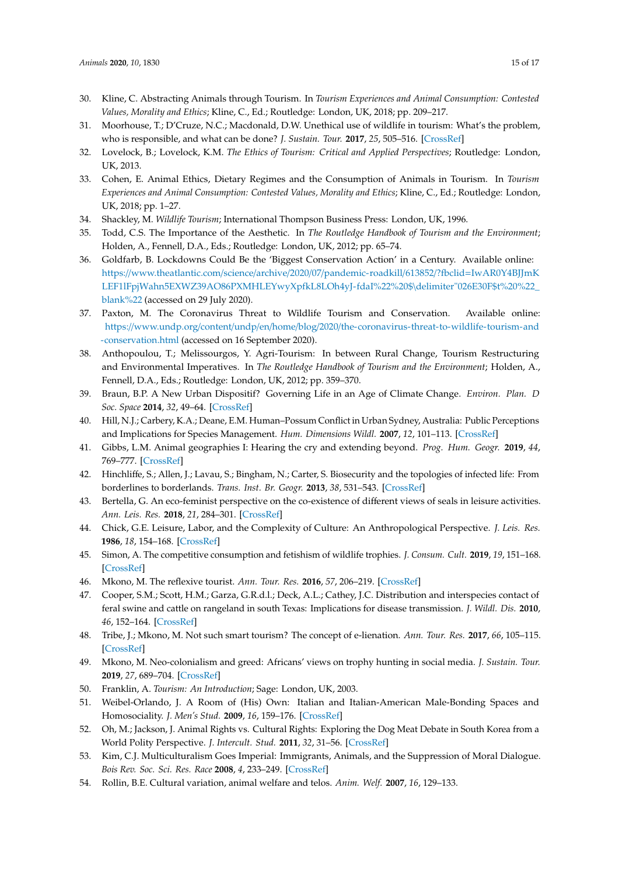- <span id="page-14-0"></span>30. Kline, C. Abstracting Animals through Tourism. In *Tourism Experiences and Animal Consumption: Contested Values, Morality and Ethics*; Kline, C., Ed.; Routledge: London, UK, 2018; pp. 209–217.
- <span id="page-14-1"></span>31. Moorhouse, T.; D'Cruze, N.C.; Macdonald, D.W. Unethical use of wildlife in tourism: What's the problem, who is responsible, and what can be done? *J. Sustain. Tour.* **2017**, *25*, 505–516. [\[CrossRef\]](http://dx.doi.org/10.1080/09669582.2016.1223087)
- <span id="page-14-2"></span>32. Lovelock, B.; Lovelock, K.M. *The Ethics of Tourism: Critical and Applied Perspectives*; Routledge: London, UK, 2013.
- <span id="page-14-3"></span>33. Cohen, E. Animal Ethics, Dietary Regimes and the Consumption of Animals in Tourism. In *Tourism Experiences and Animal Consumption: Contested Values, Morality and Ethics*; Kline, C., Ed.; Routledge: London, UK, 2018; pp. 1–27.
- <span id="page-14-4"></span>34. Shackley, M. *Wildlife Tourism*; International Thompson Business Press: London, UK, 1996.
- <span id="page-14-5"></span>35. Todd, C.S. The Importance of the Aesthetic. In *The Routledge Handbook of Tourism and the Environment*; Holden, A., Fennell, D.A., Eds.; Routledge: London, UK, 2012; pp. 65–74.
- <span id="page-14-6"></span>36. Goldfarb, B. Lockdowns Could Be the 'Biggest Conservation Action' in a Century. Available online: https://[www.theatlantic.com](https://www.theatlantic.com/science/archive/2020/07/pandemic-roadkill/613852/?fbclid=IwAR0Y4BJJmKLEF1lFpjWahn5EXWZ39AO86PXMHLEYwyXpfkL8LOh4yJ-fdaI%22%20$\delimiter "026E30F $t%20%22_blank%22)/science/archive/2020/07/pandemic-roadkill/613852/?fbclid=IwAR0Y4BJJmK [LEF1lFpjWahn5EXWZ39AO86PXMHLEYwyXpfkL8LOh4yJ-fdaI%22%20\\$](https://www.theatlantic.com/science/archive/2020/07/pandemic-roadkill/613852/?fbclid=IwAR0Y4BJJmKLEF1lFpjWahn5EXWZ39AO86PXMHLEYwyXpfkL8LOh4yJ-fdaI%22%20$\delimiter "026E30F $t%20%22_blank%22)\delimiter"026E30F\$t%20%22\_ [blank%22](https://www.theatlantic.com/science/archive/2020/07/pandemic-roadkill/613852/?fbclid=IwAR0Y4BJJmKLEF1lFpjWahn5EXWZ39AO86PXMHLEYwyXpfkL8LOh4yJ-fdaI%22%20$\delimiter "026E30F $t%20%22_blank%22) (accessed on 29 July 2020).
- <span id="page-14-7"></span>37. Paxton, M. The Coronavirus Threat to Wildlife Tourism and Conservation. Available online: https://www.undp.org/content/undp/en/home/blog/2020/[the-coronavirus-threat-to-wildlife-tourism-and](https://www.undp.org/content/undp/en/home/blog/2020/the-coronavirus-threat-to-wildlife-tourism-and-conservation.html) [-conservation.html](https://www.undp.org/content/undp/en/home/blog/2020/the-coronavirus-threat-to-wildlife-tourism-and-conservation.html) (accessed on 16 September 2020).
- <span id="page-14-8"></span>38. Anthopoulou, T.; Melissourgos, Y. Agri-Tourism: In between Rural Change, Tourism Restructuring and Environmental Imperatives. In *The Routledge Handbook of Tourism and the Environment*; Holden, A., Fennell, D.A., Eds.; Routledge: London, UK, 2012; pp. 359–370.
- <span id="page-14-9"></span>39. Braun, B.P. A New Urban Dispositif? Governing Life in an Age of Climate Change. *Environ. Plan. D Soc. Space* **2014**, *32*, 49–64. [\[CrossRef\]](http://dx.doi.org/10.1068/d4313)
- <span id="page-14-10"></span>40. Hill, N.J.; Carbery, K.A.; Deane, E.M. Human–Possum Conflict in Urban Sydney, Australia: Public Perceptions and Implications for Species Management. *Hum. Dimensions Wildl.* **2007**, *12*, 101–113. [\[CrossRef\]](http://dx.doi.org/10.1080/10871200701195928)
- <span id="page-14-11"></span>41. Gibbs, L.M. Animal geographies I: Hearing the cry and extending beyond. *Prog. Hum. Geogr.* **2019**, *44*, 769–777. [\[CrossRef\]](http://dx.doi.org/10.1177/0309132519863483)
- <span id="page-14-12"></span>42. Hinchliffe, S.; Allen, J.; Lavau, S.; Bingham, N.; Carter, S. Biosecurity and the topologies of infected life: From borderlines to borderlands. *Trans. Inst. Br. Geogr.* **2013**, *38*, 531–543. [\[CrossRef\]](http://dx.doi.org/10.1111/j.1475-5661.2012.00538.x)
- <span id="page-14-13"></span>43. Bertella, G. An eco-feminist perspective on the co-existence of different views of seals in leisure activities. *Ann. Leis. Res.* **2018**, *21*, 284–301. [\[CrossRef\]](http://dx.doi.org/10.1080/11745398.2017.1415152)
- <span id="page-14-14"></span>44. Chick, G.E. Leisure, Labor, and the Complexity of Culture: An Anthropological Perspective. *J. Leis. Res.* **1986**, *18*, 154–168. [\[CrossRef\]](http://dx.doi.org/10.1080/00222216.1986.11969654)
- <span id="page-14-15"></span>45. Simon, A. The competitive consumption and fetishism of wildlife trophies. *J. Consum. Cult.* **2019**, *19*, 151–168. [\[CrossRef\]](http://dx.doi.org/10.1177/1469540517690571)
- <span id="page-14-16"></span>46. Mkono, M. The reflexive tourist. *Ann. Tour. Res.* **2016**, *57*, 206–219. [\[CrossRef\]](http://dx.doi.org/10.1016/j.annals.2016.01.004)
- <span id="page-14-17"></span>47. Cooper, S.M.; Scott, H.M.; Garza, G.R.d.l.; Deck, A.L.; Cathey, J.C. Distribution and interspecies contact of feral swine and cattle on rangeland in south Texas: Implications for disease transmission. *J. Wildl. Dis.* **2010**, *46*, 152–164. [\[CrossRef\]](http://dx.doi.org/10.7589/0090-3558-46.1.152)
- <span id="page-14-18"></span>48. Tribe, J.; Mkono, M. Not such smart tourism? The concept of e-lienation. *Ann. Tour. Res.* **2017**, *66*, 105–115. [\[CrossRef\]](http://dx.doi.org/10.1016/j.annals.2017.07.001)
- <span id="page-14-19"></span>49. Mkono, M. Neo-colonialism and greed: Africans' views on trophy hunting in social media. *J. Sustain. Tour.* **2019**, *27*, 689–704. [\[CrossRef\]](http://dx.doi.org/10.1080/09669582.2019.1604719)
- <span id="page-14-20"></span>50. Franklin, A. *Tourism: An Introduction*; Sage: London, UK, 2003.
- <span id="page-14-21"></span>51. Weibel-Orlando, J. A Room of (His) Own: Italian and Italian-American Male-Bonding Spaces and Homosociality. *J. Men's Stud.* **2009**, *16*, 159–176. [\[CrossRef\]](http://dx.doi.org/10.3149/jms.1602.159)
- <span id="page-14-22"></span>52. Oh, M.; Jackson, J. Animal Rights vs. Cultural Rights: Exploring the Dog Meat Debate in South Korea from a World Polity Perspective. *J. Intercult. Stud.* **2011**, *32*, 31–56. [\[CrossRef\]](http://dx.doi.org/10.1080/07256868.2010.491272)
- <span id="page-14-23"></span>53. Kim, C.J. Multiculturalism Goes Imperial: Immigrants, Animals, and the Suppression of Moral Dialogue. *Bois Rev. Soc. Sci. Res. Race* **2008**, *4*, 233–249. [\[CrossRef\]](http://dx.doi.org/10.1017/S1742058X07070129)
- <span id="page-14-24"></span>54. Rollin, B.E. Cultural variation, animal welfare and telos. *Anim. Welf.* **2007**, *16*, 129–133.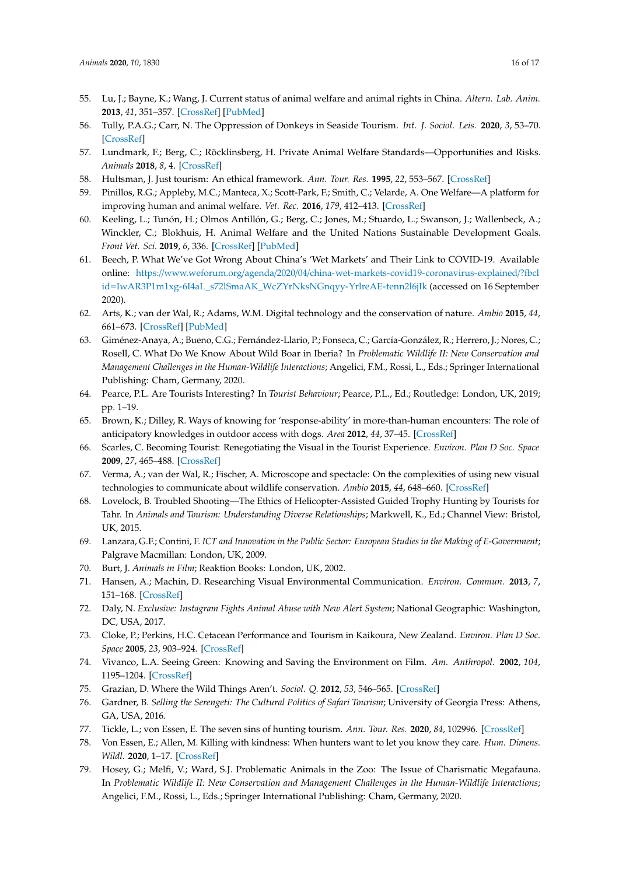- <span id="page-15-0"></span>55. Lu, J.; Bayne, K.; Wang, J. Current status of animal welfare and animal rights in China. *Altern. Lab. Anim.* **2013**, *41*, 351–357. [\[CrossRef\]](http://dx.doi.org/10.1177/026119291304100505) [\[PubMed\]](http://www.ncbi.nlm.nih.gov/pubmed/24329743)
- <span id="page-15-1"></span>56. Tully, P.A.G.; Carr, N. The Oppression of Donkeys in Seaside Tourism. *Int. J. Sociol. Leis.* **2020**, *3*, 53–70. [\[CrossRef\]](http://dx.doi.org/10.1007/s41978-019-00047-x)
- <span id="page-15-2"></span>57. Lundmark, F.; Berg, C.; Röcklinsberg, H. Private Animal Welfare Standards—Opportunities and Risks. *Animals* **2018**, *8*, 4. [\[CrossRef\]](http://dx.doi.org/10.3390/ani8010004)
- <span id="page-15-3"></span>58. Hultsman, J. Just tourism: An ethical framework. *Ann. Tour. Res.* **1995**, *22*, 553–567. [\[CrossRef\]](http://dx.doi.org/10.1016/0160-7383(95)00011-T)
- <span id="page-15-4"></span>59. Pinillos, R.G.; Appleby, M.C.; Manteca, X.; Scott-Park, F.; Smith, C.; Velarde, A. One Welfare—A platform for improving human and animal welfare. *Vet. Rec.* **2016**, *179*, 412–413. [\[CrossRef\]](http://dx.doi.org/10.1136/vr.i5470)
- <span id="page-15-5"></span>60. Keeling, L.; Tunón, H.; Olmos Antillón, G.; Berg, C.; Jones, M.; Stuardo, L.; Swanson, J.; Wallenbeck, A.; Winckler, C.; Blokhuis, H. Animal Welfare and the United Nations Sustainable Development Goals. *Front Vet. Sci.* **2019**, *6*, 336. [\[CrossRef\]](http://dx.doi.org/10.3389/fvets.2019.00336) [\[PubMed\]](http://www.ncbi.nlm.nih.gov/pubmed/31649940)
- <span id="page-15-6"></span>61. Beech, P. What We've Got Wrong About China's 'Wet Markets' and Their Link to COVID-19. Available online: https://www.weforum.org/agenda/2020/04/[china-wet-markets-covid19-coronavirus-explained](https://www.weforum.org/agenda/2020/04/china-wet-markets-covid19-coronavirus-explained/?fbclid=IwAR3P1m1xg-6I4aL_s72lSmaAK_WcZYrNksNGnqyy-YrlreAE-tenn2l6jIk)/?fbcl id=[IwAR3P1m1xg-6I4aL\\_s72lSmaAK\\_WcZYrNksNGnqyy-YrlreAE-tenn2l6jIk](https://www.weforum.org/agenda/2020/04/china-wet-markets-covid19-coronavirus-explained/?fbclid=IwAR3P1m1xg-6I4aL_s72lSmaAK_WcZYrNksNGnqyy-YrlreAE-tenn2l6jIk) (accessed on 16 September 2020).
- <span id="page-15-7"></span>62. Arts, K.; van der Wal, R.; Adams, W.M. Digital technology and the conservation of nature. *Ambio* **2015**, *44*, 661–673. [\[CrossRef\]](http://dx.doi.org/10.1007/s13280-015-0705-1) [\[PubMed\]](http://www.ncbi.nlm.nih.gov/pubmed/26508352)
- <span id="page-15-8"></span>63. Giménez-Anaya, A.; Bueno, C.G.; Fernández-Llario, P.; Fonseca, C.; García-González, R.; Herrero, J.; Nores, C.; Rosell, C. What Do We Know About Wild Boar in Iberia? In *Problematic Wildlife II: New Conservation and Management Challenges in the Human-Wildlife Interactions*; Angelici, F.M., Rossi, L., Eds.; Springer International Publishing: Cham, Germany, 2020.
- <span id="page-15-9"></span>64. Pearce, P.L. Are Tourists Interesting? In *Tourist Behaviour*; Pearce, P.L., Ed.; Routledge: London, UK, 2019; pp. 1–19.
- <span id="page-15-10"></span>65. Brown, K.; Dilley, R. Ways of knowing for 'response-ability' in more-than-human encounters: The role of anticipatory knowledges in outdoor access with dogs. *Area* **2012**, *44*, 37–45. [\[CrossRef\]](http://dx.doi.org/10.1111/j.1475-4762.2011.01059.x)
- <span id="page-15-11"></span>66. Scarles, C. Becoming Tourist: Renegotiating the Visual in the Tourist Experience. *Environ. Plan D Soc. Space* **2009**, *27*, 465–488. [\[CrossRef\]](http://dx.doi.org/10.1068/d1707)
- <span id="page-15-12"></span>67. Verma, A.; van der Wal, R.; Fischer, A. Microscope and spectacle: On the complexities of using new visual technologies to communicate about wildlife conservation. *Ambio* **2015**, *44*, 648–660. [\[CrossRef\]](http://dx.doi.org/10.1007/s13280-015-0715-z)
- <span id="page-15-13"></span>68. Lovelock, B. Troubled Shooting—The Ethics of Helicopter-Assisted Guided Trophy Hunting by Tourists for Tahr. In *Animals and Tourism: Understanding Diverse Relationships*; Markwell, K., Ed.; Channel View: Bristol, UK, 2015.
- <span id="page-15-14"></span>69. Lanzara, G.F.; Contini, F. *ICT and Innovation in the Public Sector: European Studies in the Making of E-Government*; Palgrave Macmillan: London, UK, 2009.
- <span id="page-15-15"></span>70. Burt, J. *Animals in Film*; Reaktion Books: London, UK, 2002.
- <span id="page-15-16"></span>71. Hansen, A.; Machin, D. Researching Visual Environmental Communication. *Environ. Commun.* **2013**, *7*, 151–168. [\[CrossRef\]](http://dx.doi.org/10.1080/17524032.2013.785441)
- <span id="page-15-17"></span>72. Daly, N. *Exclusive: Instagram Fights Animal Abuse with New Alert System*; National Geographic: Washington, DC, USA, 2017.
- <span id="page-15-18"></span>73. Cloke, P.; Perkins, H.C. Cetacean Performance and Tourism in Kaikoura, New Zealand. *Environ. Plan D Soc. Space* **2005**, *23*, 903–924. [\[CrossRef\]](http://dx.doi.org/10.1068/d57j)
- <span id="page-15-19"></span>74. Vivanco, L.A. Seeing Green: Knowing and Saving the Environment on Film. *Am. Anthropol.* **2002**, *104*, 1195–1204. [\[CrossRef\]](http://dx.doi.org/10.1525/aa.2002.104.4.1195)
- <span id="page-15-20"></span>75. Grazian, D. Where the Wild Things Aren't. *Sociol. Q.* **2012**, *53*, 546–565. [\[CrossRef\]](http://dx.doi.org/10.1111/j.1533-8525.2012.01249.x)
- <span id="page-15-21"></span>76. Gardner, B. *Selling the Serengeti: The Cultural Politics of Safari Tourism*; University of Georgia Press: Athens, GA, USA, 2016.
- <span id="page-15-22"></span>77. Tickle, L.; von Essen, E. The seven sins of hunting tourism. *Ann. Tour. Res.* **2020**, *84*, 102996. [\[CrossRef\]](http://dx.doi.org/10.1016/j.annals.2020.102996)
- <span id="page-15-23"></span>78. Von Essen, E.; Allen, M. Killing with kindness: When hunters want to let you know they care. *Hum. Dimens. Wildl.* **2020**, 1–17. [\[CrossRef\]](http://dx.doi.org/10.1080/10871209.2020.1800145)
- <span id="page-15-24"></span>79. Hosey, G.; Melfi, V.; Ward, S.J. Problematic Animals in the Zoo: The Issue of Charismatic Megafauna. In *Problematic Wildlife II: New Conservation and Management Challenges in the Human-Wildlife Interactions*; Angelici, F.M., Rossi, L., Eds.; Springer International Publishing: Cham, Germany, 2020.